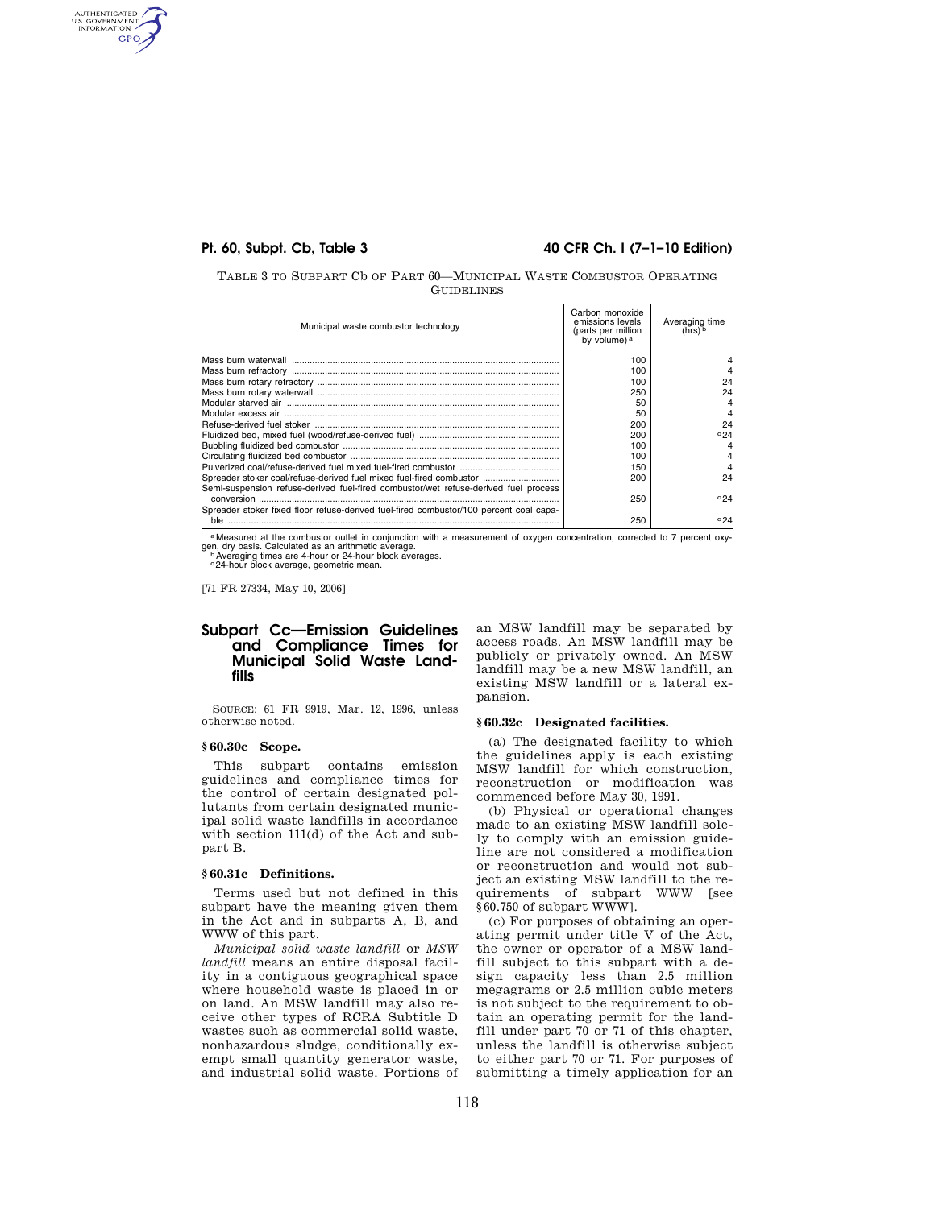AUTHENTICATED<br>U.S. GOVERNMENT<br>INFORMATION **GPO** 

## **Pt. 60, Subpt. Cb, Table 3 40 CFR Ch. I (7–1–10 Edition)**

TABLE 3 TO SUBPART Cb OF PART 60—MUNICIPAL WASTE COMBUSTOR OPERATING **GUIDELINES** 

| Municipal waste combustor technology                                                   | Carbon monoxide<br>emissions levels<br>(parts per million<br>by volume) a | Averaging time<br>(hrs) b |
|----------------------------------------------------------------------------------------|---------------------------------------------------------------------------|---------------------------|
|                                                                                        | 100                                                                       |                           |
|                                                                                        | 100                                                                       |                           |
|                                                                                        | 100                                                                       | 24                        |
|                                                                                        | 250                                                                       | 24                        |
|                                                                                        | 50                                                                        | 4                         |
|                                                                                        | 50                                                                        | 4                         |
|                                                                                        | 200                                                                       | 24                        |
|                                                                                        | 200                                                                       | c24                       |
|                                                                                        | 100                                                                       |                           |
|                                                                                        | 100                                                                       |                           |
|                                                                                        | 150                                                                       |                           |
| Spreader stoker coal/refuse-derived fuel mixed fuel-fired combustor                    | 200                                                                       | 24                        |
| Semi-suspension refuse-derived fuel-fired combustor/wet refuse-derived fuel process    | 250                                                                       | c24                       |
| Spreader stoker fixed floor refuse-derived fuel-fired combustor/100 percent coal capa- | 250                                                                       | c24                       |

a Measured at the combustor outlet in conjunction with a measurement of oxygen concentration, corrected to 7 percent oxygen, dry basis. Calculated as an arithmetic average.<br>bAveraging times are 4-hour or 24-hour block averages.<br>c24-hour block average, geometric mean.

[71 FR 27334, May 10, 2006]

# **Subpart Cc—Emission Guidelines and Compliance Times for Municipal Solid Waste Landfills**

SOURCE: 61 FR 9919, Mar. 12, 1996, unless otherwise noted.

### **§ 60.30c Scope.**

This subpart contains emission guidelines and compliance times for the control of certain designated pollutants from certain designated municipal solid waste landfills in accordance with section 111(d) of the Act and subpart B.

#### **§ 60.31c Definitions.**

Terms used but not defined in this subpart have the meaning given them in the Act and in subparts A, B, and WWW of this part.

*Municipal solid waste landfill* or *MSW landfill* means an entire disposal facility in a contiguous geographical space where household waste is placed in or on land. An MSW landfill may also receive other types of RCRA Subtitle D wastes such as commercial solid waste, nonhazardous sludge, conditionally exempt small quantity generator waste, and industrial solid waste. Portions of an MSW landfill may be separated by access roads. An MSW landfill may be publicly or privately owned. An MSW landfill may be a new MSW landfill, an existing MSW landfill or a lateral expansion.

### **§ 60.32c Designated facilities.**

(a) The designated facility to which the guidelines apply is each existing MSW landfill for which construction, reconstruction or modification was commenced before May 30, 1991.

(b) Physical or operational changes made to an existing MSW landfill solely to comply with an emission guideline are not considered a modification or reconstruction and would not subject an existing MSW landfill to the requirements of subpart WWW [see §60.750 of subpart WWW].

(c) For purposes of obtaining an operating permit under title V of the Act, the owner or operator of a MSW landfill subject to this subpart with a design capacity less than 2.5 million megagrams or 2.5 million cubic meters is not subject to the requirement to obtain an operating permit for the landfill under part 70 or 71 of this chapter, unless the landfill is otherwise subject to either part 70 or 71. For purposes of submitting a timely application for an